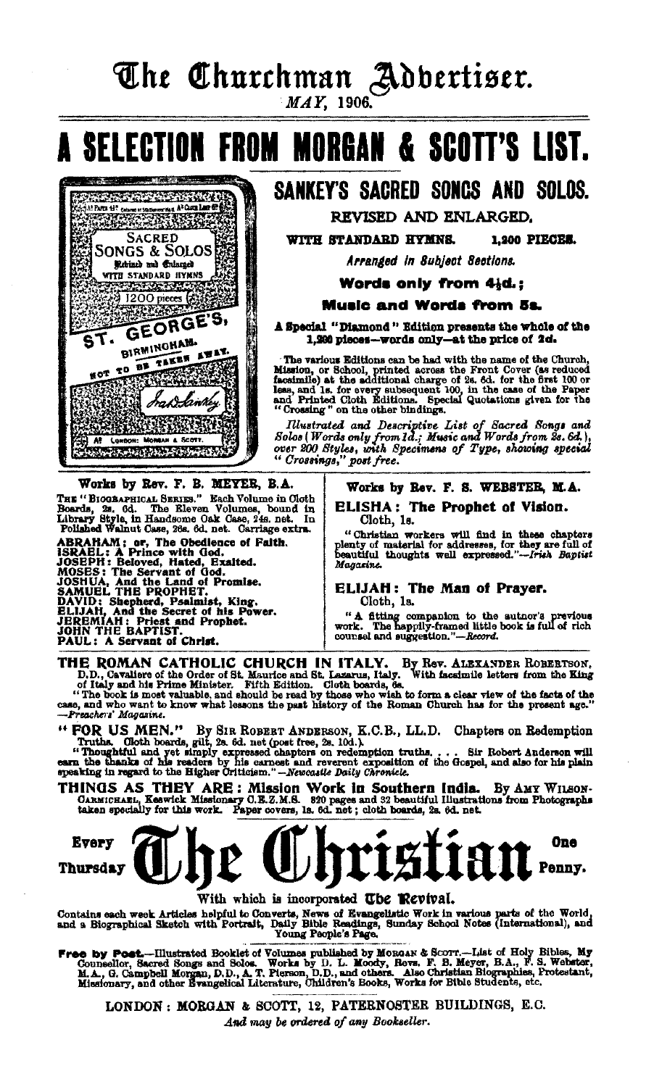The Churchman Adbertiser.

**MAY.** 1906

A SELECTION FROM MORGAN & SCOTT'S LIST.

## SANKEY'S SACRED SONCS AND SOLDS.

REVISED AND ENLARGED.

WITH STANDARD HYMNS. 1.900 PIECES.

Arranded in Subject Sections.

Words only from 41d.:

#### **Music and Words from 5s.**

A Special "Diamond" Edition presents the whole of the 1,200 pieces-words only-at the price of 2d.

The various Editions can be had with the name of the Church,<br>Mission, or School, printed across the Front Cover (as reduced<br>facsimile) at the additional charge of 2s. 6d. for the first 100 or<br>less, and 1s. for every subse

Illustrated and Descriptive List of Sacred Songs and<br>Solas (Words only from 1d.; Music and Words from 2s. 6d.),<br>over 200 Styles, with Specimens of Type, showing special "Crossings," post free.

Works by Rev. F. B. MEYER, B.A.

**Progress of the Control of Control All Parts 45** company and all Complete Print, and all Complete Print, and all Complete Print, and all Complete Print, and all Complete Print, and all Complete Print, and all Complete Print, and all Complete Print, and all

**SACRED** 

**SONGS & SOLOS** 

Rebined and Calarged WITH STANDARD HYMNS **THE STATUARD ITYMES** 

**BIRMINGHAM.** 

HOT TO BE TAKEN AWAY.

NA WA K

LONDON: M  $A$ 

GEORGE'S,

draw kin

DREAR & SC

**RACK REAL AND REAL PROPERTY** 

THE "BIOGRAPHICAL SERIES." Each Volume in Cloth<br>Roards, 2s, 6d. The Eleven Volumes, bound in Library Style, in Handsome Oak Case, 24s. net. In<br>Flibrary Style, in Handsome Oak Case, 24s. net. In Polished Walnut Case, 26s. 6

Folished Walnut Case, 26s. 6d. not. Carriage ex<br>
ABRAHAM; or, The Obedlence of Faith.<br>
BRAHL: A Prince with God.<br>
JOSEPH: Beloved, Hated, Exalted.<br>
MOSES: The Servant of God.<br>
MOSES: The Servant of God.<br>
JOSHUA, And the La

### Works by Rev. F. S. WEBSTER, M.A.

**ELISHA: The Prophet of Vision.** Cloth, 1s.

"Christian workers will find in these chapters plenty of material for addresses, for they are full of beautiful thoughts well expressed."--frish Baptist Magazine.

#### ELIJAH: The Man of Prayer. Cloth, 1s.

"A fitting companion to the author's previous work. The happily-framed little book is full of rich counsel and suggestion."—Record.

THE ROMAN CATHOLIC CHURCH IN ITALY. By Rev. ALEXANDER ROBERTSON, D.D., Cavaliers of the Order of St. Maurice and St. Lazarus, Italy. With facsimile letters from the King D.D., Cavaliers of the Order of St. Maurice and St. Lazarus, Italy. With facsimile letters from the King<br>of Italy and his Prime Minister. Fifth Edition. Cloth boards, če.<br>of Italy and his Prime Minister. Fifth Edition. Clo

-Preachers' Magazine.

"FOR US MEN." By SIR ROBERT ANDERSON, K.C.B., LL.D. Chapters on Redemption Truths. Cloth boards, gilt, 2s. 6d. net (post free, 2s. 10d.). "Thoughtful and yet simply expressed chapters on redemption fruths.... Sir Robert A

THINGS AS THEY ARE: Mission Work in Southern India. By AMY WILSON-<br>CARMICHARL, Keewick Missionary O.B.Z.M.S. 820 pages and 32 beautiful Illustrations from Photographs<br>taken specially for this work. Paper covers, 1s. 6d. ne



With which is incorporated The Revival.

Contains each week Articles helpful to Converts, News of Evangelistic Work in various parts of the World, and a Biographical Sketch with Portrait, Daily Bible Readings, Sunday School Notes (International), and Young People

Free by Post.--Illustrated Booklet of Volumes published by MoRGAN & SCOTT.---List of Holy Bibles, My Conneclior, Sacred Songs and Solos. Worder, D. Morky, Rows. F. B. Webster, M. A., G. Campbell Morgan, D.D., A. T. Person,

LONDON: MORGAN & SCOTT, 12, PATERNOSTER BUILDINGS, E.C. And may be ordered of any Bookseller.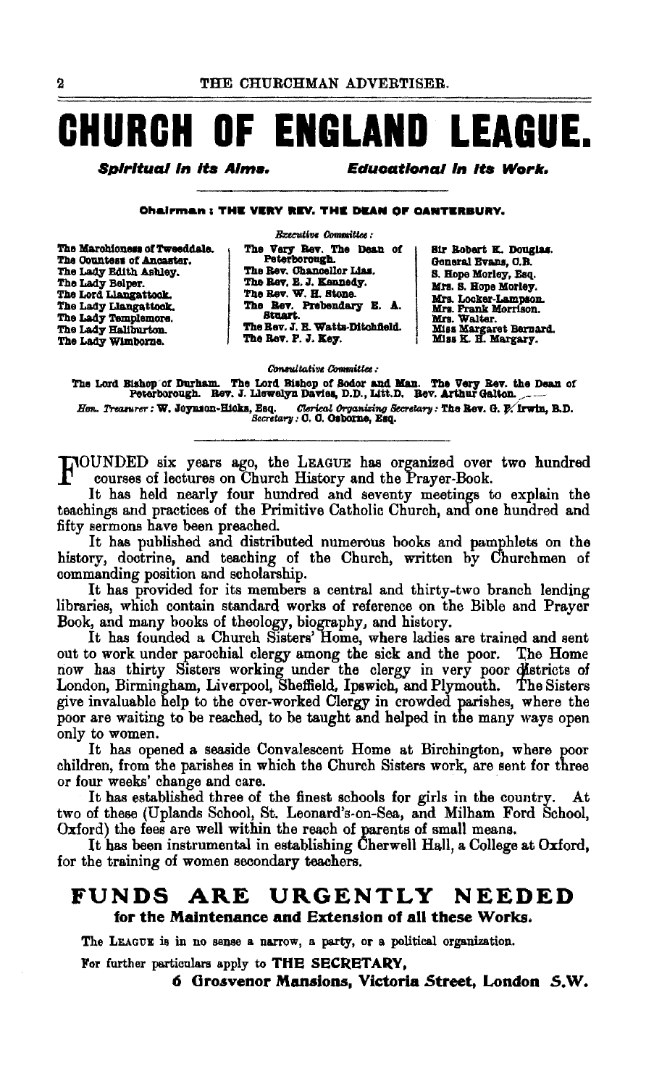# **CHURCH OF ENGLAND LEAGUE.**

Spiritual in its Aims.

**Educational in its Work.** 

**Chairman: THE VERY REV. THE DEAN OF CANTERBURY.** 

The Marchioness of Tweeddale. The Countess of Ancaster. The Lady Edith Ashley. The Lady Belper.<br>The Lord Liangattook. The Lady Llangattook.<br>The Lady Templemore. The Lady Hallburton. The Lady Wimborne.

**B**zecutive Committee: The Very Rev. The Dean of Peterborough. The Rev. Chancellor Lias. The Rev. E. J. Kannedy. The Rev. W. H. Stone. The Rev. Prebendary E. A. **Stuart**. The Rev. J. E. Watts-Ditchfield. The Rev. P. J. Key.

Sir Bobart K. Douglas. General Evans, C.B. S. Hope Morley, Esq. Mrs. S. Hope Morley. Mrs. Locker-Lampson. mrs. Locate-Lampson.<br>Mrs. Frank Morrison.<br>Mrs. Walter.<br>Miss Margaret Bernard.<br>Miss K. H. Margary.

Consultative Committee:

The Lord Bishop of Durham. The Lord Bishop of Sodor and Man. The Very Bev. the Dean of Peterborough. Bev. J. Llewelyn Davies, D.D., Litt.D. Bev. Arthur Galton. Hen. Treasurer: W. Joynson-Hicks, Esq. Chrical Organizing Secretary: The Rev. G. P. Irwin, B.D.

HOUNDED six years ago, the LEAGUE has organized over two hundred courses of lectures on Church History and the Prayer-Book.

It has held nearly four hundred and seventy meetings to explain the teachings and practices of the Primitive Catholic Church, and one hundred and fifty sermons have been preached.

It has published and distributed numerous books and pamphlets on the history, doctrine, and teaching of the Church, written by Churchmen of commanding position and scholarship.

It has provided for its members a central and thirty-two branch lending libraries, which contain standard works of reference on the Bible and Prayer Book, and many books of theology, biography, and history.

It has founded a Church Sisters' Home, where ladies are trained and sent out to work under parochial clergy among the sick and the poor. The Home now has thirty Sisters working under the clergy in very poor districts of London, Birmingham, Liverpool, Sheffield, Ipswich, and Plymouth. The Sisters give invaluable help to the over-worked Clergy in crowded parishes, where the poor are waiting to be reached, to be taught and helped in the many ways open only to women.

It has opened a seaside Convalescent Home at Birchington, where poor children, from the parishes in which the Church Sisters work, are sent for three or four weeks' change and care.

It has established three of the finest schools for girls in the country. At two of these (Uplands School, St. Leonard's-on-Sea, and Milham Ford School, Oxford) the fees are well within the reach of parents of small means.

It has been instrumental in establishing Cherwell Hall, a College at Oxford, for the training of women secondary teachers.

#### **URGENTLY** NEEDED FUNDS. ARE for the Maintenance and Extension of all these Works.

The LEAGUE is in no sense a narrow, a party, or a political organization.

For further particulars apply to THE SECRETARY.

6 Grosvenor Mansions, Victoria Street, London S.W.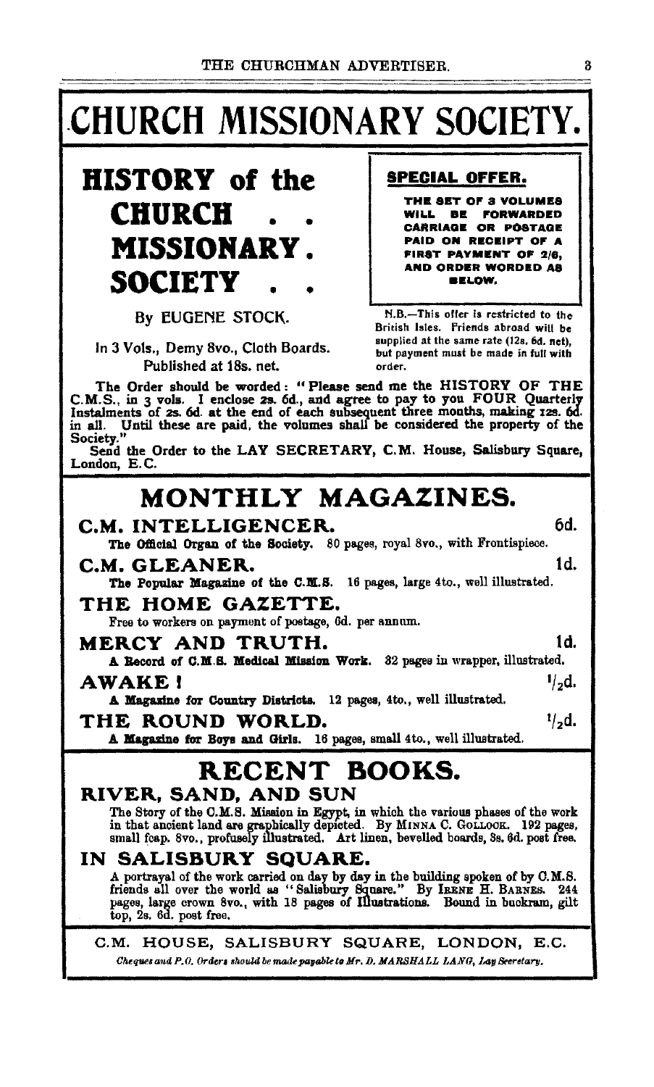# **CHURCH MISSIONARY SOCIETY.**



By EUGENE STOCK.

In 3 Vols., Demy 8vo., Cloth Boards. Published at 18s. net.

**SPECIAL OFFER.** 

THE SET OF 3 VOLUMES WILL BE FORWARDED **CARRIAGE OR POSTAGE** PAID ON RECEIPT OF A FIRST PAYMENT OF 2/6, **AND ORDER WORDED AS BELOW.** 

N.B.-This offer is restricted to the British Isles. Friends abroad will be supplied at the same rate (12s. 6d. net), but payment must be made in full with order.

The Order should be worded: "Please send me the HISTORY OF THE C.M.S., in 3 vols. I enclose 2s. 6d., and agree to pay to you FOUR Quarterly Instalments of 2s. 6d. at the end of each subsequent three months, making 12s. 6d. in all. Until these are paid, the volumes shall be considered the property of the Society."

Send the Order to the LAY SECRETARY, C.M. House, Salisbury Square. London, E.C.

## MONTHLY MAGAZINES.

### C.M. INTELLIGENCER. The Official Organ of the Society. 80 pages, royal 8vo., with Frontispiece. 1d. C.M. GLEANER. The Popular Magazine of the C.M.S. 16 pages, large 4to., well illustrated. THE HOME GAZETTE. Free to workers on payment of postage, 6d. per annum. 1d. MERCY AND TRUTH. A Record of C.M.S. Medical Mission Work. 32 pages in wrapper, illustrated. **AWAKE!**  $1/2d$ . A Magazine for Country Districts. 12 pages, 4to., well illustrated.  $1/2d$ . THE ROUND WORLD. A Magazine for Boys and Girls. 16 pages, small 4to., well illustrated. RECENT BOOKS. RIVER, SAND, AND SUN The Story of the C.M.S. Mission in Egypt, in which the various phases of the work in that ancient land are graphically depicted. By MINNA C. GOLLOCK. 192 pages, small fcap. 8vo., profusely illustrated. Art linen, bevelled boards, 3s. 6d. post free. IN SALISBURY SQUARE. A portrayal of the work carried on day by day in the building spoken of by C.M.S.<br>friends all over the world as "Salisbury Square." By IRENE H. BARNES. 244<br>pages, large crown 8vo., with 18 pages of Illustrations. Bound in  $top$ , 2s. 6d. post free. C.M. HOUSE, SALISBURY SQUARE, LONDON, E.C. Cheques and P.O. Orders should be made payable to Mr. D. MARSHALL LANG, Lay Seeretary,

8

6d.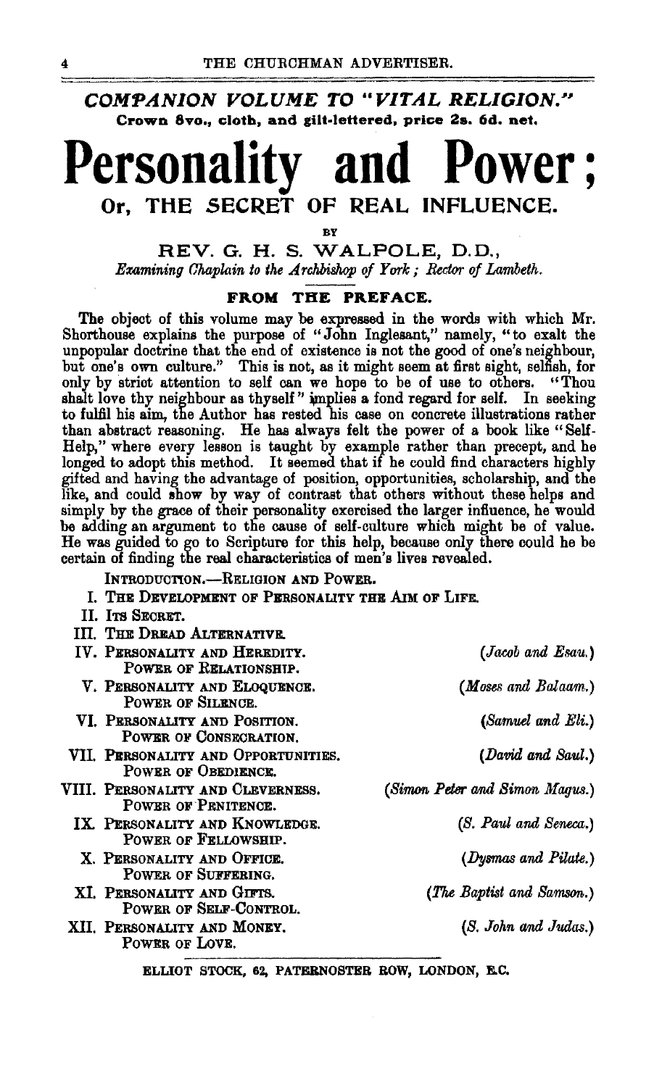### **COMPANION VOLUME TO "VITAL RELIGION." Crown 8vo., cloth, and gilt·lettered, price 2s. 6d. net.**

# **Personality and Power** ; **Or, THE SECRET OF REAL INFLUENCE.**

BY

**REV. G. H. S. WALPOLE, D.** D., *Examining Chaplain to the Archbishop of York; Rector of Lambeth.* 

### **FROM THE PREFACE.**

The object of this volume may be expressed in the words with which Mr. Shorthouse explains the purpose of "John Inglesant," namely, "to exalt the unpopular doctrine that the end of existence is not the good of one's neighbour, but one's own culture." This is not, as it might seem at first sight, selfish, for only by strict attention to self can we hope to be of use to others. "Thou shalt love thy neighbour as thyself" implies a fond regard for self. In seeking to fulfil his aim, the Author has rested his case on concrete illustrations rather than abstract reasoning. He has always felt the power of a book like "Self-Help," where every lesson is taught by example rather than precept, and he longed to adopt this method. It seemed that if he could find characters highly gifted and having the advantage of position, opportunities, scholarship, and the like, and could show by way of contrast that others without these helps and simply by the grace of their personality exercised the larger influence, he would be adding an argument to the cause of self-culture which might be of value. He was guided to go to Scripture for this help, because only there could he be certain of finding the real characteristics of men's lives revealed.

INTRODUCTION.-RELIGION AND POWER.

- I. THE DEVELOPMENT OF PERSONALITY THE AIM OF LIFE.
- II. ITS SECRET.
- III. THE DREAD ALTERNATIVE.

| (Jacob and Esau.)              |
|--------------------------------|
| (Moses and Balaam.)            |
| (Samuel and Eli.)              |
| (David and Saul.)              |
| (Simon Peter and Simon Maqus.) |
| (S. Paul and Seneca.)          |
| (Dysmas and Pilate.)           |
| (The Baptist and Samson.)      |
| (S. John and Judas.)           |
|                                |

ELLIOT STOCK, 62, PATERNOSTER ROW, LONDON, E.C.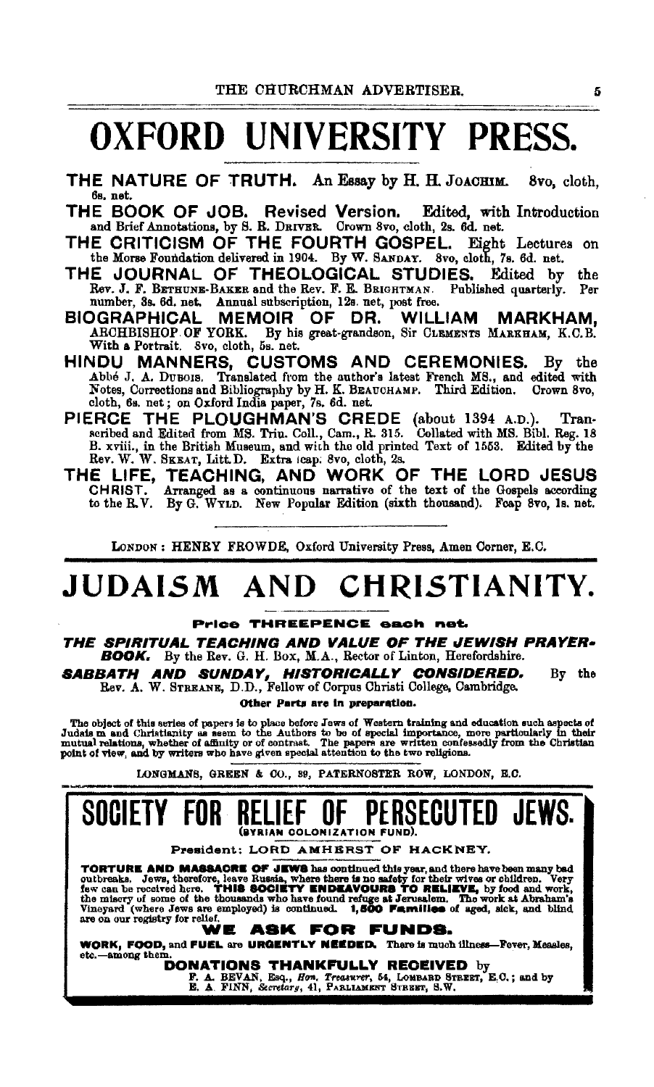# OXFORD UNIVERSITY PRESS.

- THE NATURE OF TRUTH. An Essay by H. H. JoACHIM. Svo, cloth, 6s. net.
- THE BOOK OF JOB. Revised Version. Edited, with Introduction and Brief Annotations, by 8. B. DRIVER. Crown 8vo, cloth, 2s. 6d. net.
- THE CRITICISM OF THE FOURTH GOSPEL. Eight Lectures on the Morse Foundation delivered in 1904. By W. SANDAY. 8vo, cloth. 7s. 6d. net.
- THE JOURNAL OF THEOLOGICAL STUDIES. Edited by the Rev. J. F. BETHUNE-BAKER and the Rev. F. E. BRIGHTMAN. Published quarterly. Per number, 3s. 6d. net. Annual subscription, 12s. net, post free.<br>DGRAPHICAL MEMOIR OF DR. WILLIAM
- BIOGRAPHICAL MEMOIR OF DR. WILLIAM MARKHAM, ARCHBISHOP OF YORK. By his great-grandson, Sir CLEMENTS MARKHAM, K.C.B. With a Portrait. Svo, cloth, 5s. net.
- HINDU MANNERS, CUSTOMS AND CEREMONIES. By the Abbé J. A. DuBois. Translated from the author's latest French MS., and edited with Notes, Corrections and Bibliography by H. K. BEAUCHAMP. Third Edition. Crown 8vo, cloth, 6s. net; on Oxford India paper, 7s. 6d. net.
- PIERCE THE PLOUGHMAN'S CREDE (about 1394 A.D.). Transacribed and Edited from MS. Trin. Coll., Cam., R. 315. Collated with MS. Bibl. Reg. 18 B. xviii., in the British Museum, and with the old printed Text of 1553. Edited by the Rev. W. SKEAT, Litt.D. Extra icap: 8vo, cloth, 2s.
- THE LIFE, TEACHING, AND WORK OF THE LORD JESUS CHRIST. Arranged as a continuous narrative of the text of the Gospels according to the R.V. By G. WYLD. New Popular Edition (sixth thousand). Foap 8vo, 1s. net.

LoNDON : HENRY FROWDE, Oxford Univeraity Press, Amen Corner, E.C.

# JUDAISM AND CHRISTIANITY.

#### Price THREEPENCE each net.

THE SPIRITUAL TEACHING AND VALUE OF THE JEWISH PRAYER• **BOOK.** By the Rev. G. H. Box, M.A., Rector of Linton, Herefordshire.

**SABBATH AND SUNDAY, HISTORICALLY CONSIDERED.** By the Rev. A. W. STREANE, D.D., Fellow of Corpus Christi College, Cambridge.

Other Parts are In preparatloa.

The object of this series of papers is to place before Jews of Western training and education such aspects of Judats m and Christianity as seem to the Authors to be of special importance, more particularly in their mutual

LONGMANS, GREEN & 00., 89, PATERNOSTER ROW, LONDON, E.O.

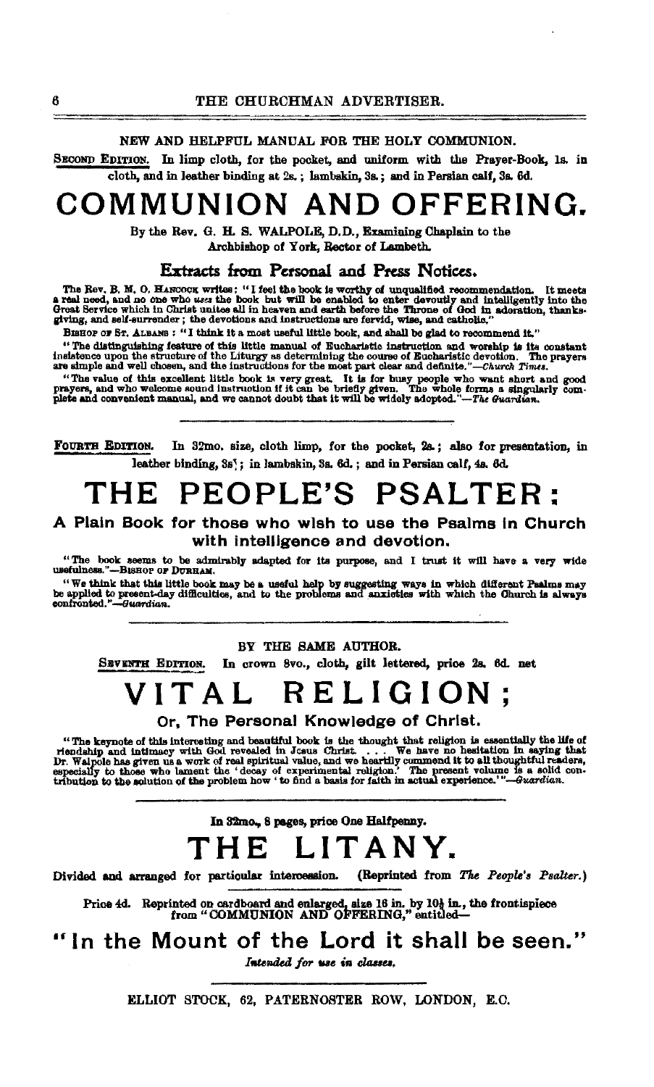NEW AND HELPFUL MANUAL FOR THE HOLY COMMUNION.

SECOND EDITION. In limp cloth, for the pocket, and uniform with the Prayer-Book, 1s. in cloth, and in leather binding at 2s.; lambakin, 3s.; and in Persian calf, 3s. 6d.

## COMMUNION AND OFFERING.

By the Rev. G. H. S. WALPOLE, D.D., Examining Chaplain to the Archbishop of York. Rector of Lambeth.

Extracts from Personal and Press Notices.

The Rev. B. M. O. HANCOCK writes: "I feel the book is worthy of unqualified recommendation. It meets a real need, and no one who uses the book but will be enabled to enter devoutly and intelligently into the Great Service

BISHOP OF ST. ALBANS : "I think it a most useful little book, and shall be glad to recommend it."

Bishor of Sr. ALBANS: The Millia is a most worst area. www.year.com.com.com.com.com/information.<br>"The distinguishing feature of the little manual of Eucharistic instruction and worship is its constant<br>-id-base week the str nationed upon the structure of the Liturgy as determining the course of Bucharistic devotion. The instructure of the Liturgy as determining the course of Bucharistic devotion. The are simple and well chosen, and the instru

"The value of this excellent little book is very great. It is for busy people who want short and good prayers, and who welcome sound instruction if it can be briefly given. The whole forms a singularly complete and conveni

FOURTH EDITION. In 32mo, size, cloth limp, for the pocket, 2s.; also for presentation, in leather binding, 3s': in lambskin, 3s. 6d.: and in Persian calf. 4s. 6d.

## THE PEOPLE'S PSALTER:

### A Plain Book for those who wish to use the Psalms in Church with intelligence and devotion.

"The book seems to be admirably adapted for its purpose, and I trust it will have a very wide usefulness."-BisHor or DURHAM.

The think that this little book may be a useful help by suggesting ways in which different Paalms may be applied to present-day difficulties, and to the problems and anxieties with which the Ohurch is always confronted."—G

BY THE SAME AUTHOR.

SEVENTH EDITION. In crown 8vo., cloth, gilt lettered, price 2s. 6d. net

# VITAL RELIGION:

Or. The Personal Knowledge of Christ.

"The keynote of this interesting and beautiful book is the thought that religion is essentially the life of riendship and intimacy with God revealed in Josus Christ. ... We have no hesitation in saying that Dr. Walpole ha

In 32mo., 8 pages, price One Halfpenny.

## THE LITANY.

Divided and arranged for particular intercession. (Reprinted from The People's Psalter.)

Price 4d. Reprinted on cardboard and enlarged, size 16 in. by 10} in, the frontispiece<br>from "COMMUNION AND OFFERING," entitled—

"In the Mount of the Lord it shall be seen."

Intended for use in classes.

ELLIOT STOCK, 62, PATERNOSTER ROW, LONDON, E.C.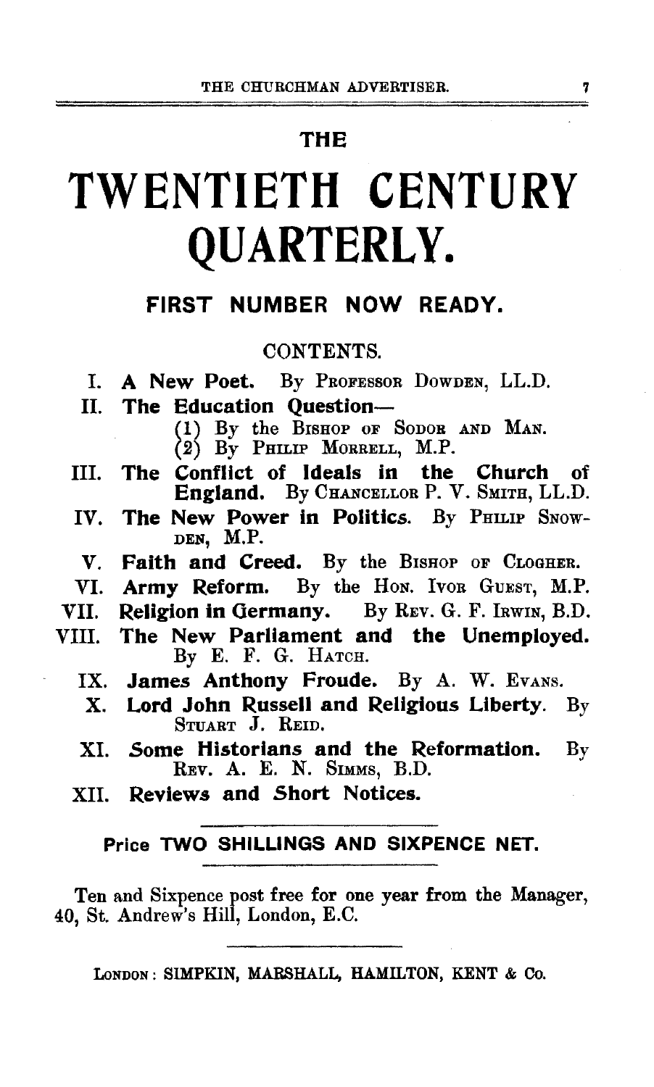### THE

# TWENTIETH CENTURY QUARTERLY.

### FIRST NUMBER NOW READY.

### CONTENTS.

- I. A New Poet. By PRoFEssoR DowDEN, LL.D.
- II. The Education Question-
	- (!) By the BISHOP oF SoDOR AND MAN.

(2) By PHILIP MORRELL, M.P.

- III. The Conflict of Ideals in the Church of England. By CHANCELLOR P. V. SMITH, LL.D.
- IV. The New Power in Politics. By PHILIP SNOW-DEN, M.P.
- V. Faith and Creed. By the BISHOP OF CLOGHER.
- VI. Army Reform. By the Hon. Ivon GUEST, M.P.
- VII. Religion in Germany. By REV. G. F. IRWIN, B.D.
- VIll. The New Parliament and the Unemployed. By E. F. G. HATCH.
	- IX. James Anthony Froude. By A. W. Evans.
	- X. Lord John Russell and Religious Liberty. By STUART J. REID.
	- XI. Some Historians and the Reformation. By REV. A. E. N. SIMMS, B.D.
	- XII. Reviews and Short Notices.

### Price TWO SHILLINGS AND SIXPENCE NET.

Ten and Sixpence post free for one year from the Manager, 40, St. Andrew's Hill, London, E.C.

LoNDON: SIMPKIN, MARSHALL, HAMILTON, KENT & Co.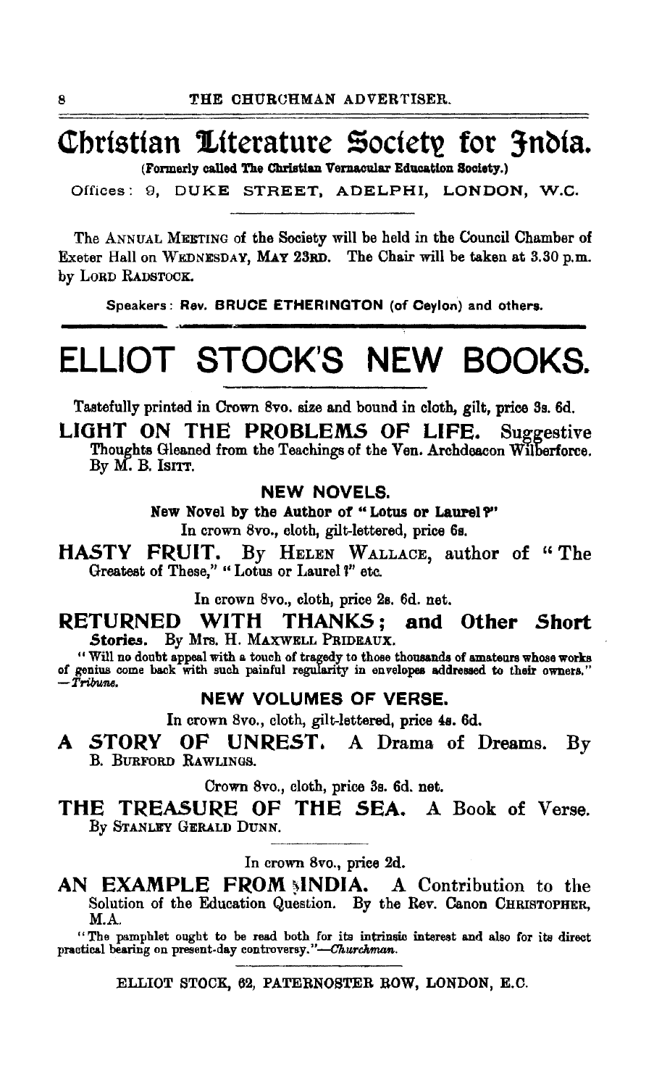## Christian Literature Society for 3ndia.

(Formerly called The Christian Vernacular Education Society.)

Offices: 9, DUKE STREET, ADELPHI, LONDON, W.C.

The ANNUAL MEETING of the Society will be held in the Council Chamber of Exeter Hall on WEDNESDAY, MAY 23RD. The Chair will be taken at 3.30 p.m. by LORD RADSTOCK.

Speakers: Rev. BRUCE ETHERINGTON (of Ceylon) and others.

# ELLIOT STOCK'S NEW BOOKS.

Tastefully printed in Crown 8vo. size and bound in cloth, gilt, price Sa. 6d.

LIGHT ON THE PROBLEMS OF LIFE. Suggestive Thoughts Gleaned from the Teachings of the Ven. Archdeacon Wilberforce. By  $M$ . B. Is $nT$ .

NEW NOVELS.

New Novel by the Author of "Lotus or Laurel?" In crown 8vo., cloth, gilt-lettered, price 6s.

HASTY FRUIT. By HELEN WALLACE, author of " The Greatest of These." "Lotus or Laurel ?" etc.

In crown 8vo., cloth, price 2s. 6d. net.

RETURNED WITH THANKS; and Other Short<br>Stories. By Mrs. H. MAXWELL PRIDEAUX. By Mrs. H. MAXWELL PRIDEAUX.

Will no doubt appeal with a touch of tragedy to those thousands of amateurs whose works of genius come back with such painful regularity in envelopes addressed to their owners." *-TrilrutM.* 

### NEW VOLUMES OF VERSE.

In crown 8vo., cloth, gilt-lettered, price 48. 6d.

A STORY OF UNREST. A Drama of Dreams. By B. BURFORD RAWLINGS.

Crown Svo., cloth, price Ss. 6d. net.

THE TREASURE OF THE SEA. A Book of Verse. By STANLEY GERALD DUNN.

In crown Svo., price 2d.

AN EXAMPLE FROM SINDIA. A Contribution to the Solution of the Education Question. By the Rev. Canon CHRISTOPHER, M.A.

"The pamphlet ought to be read both for its intrinsic interest and also for its direct practical bearing on present-day controversy."-Churchman.

ELLIOT STOCK, 62, PATERNOSTER ROW, LONDON, E.C.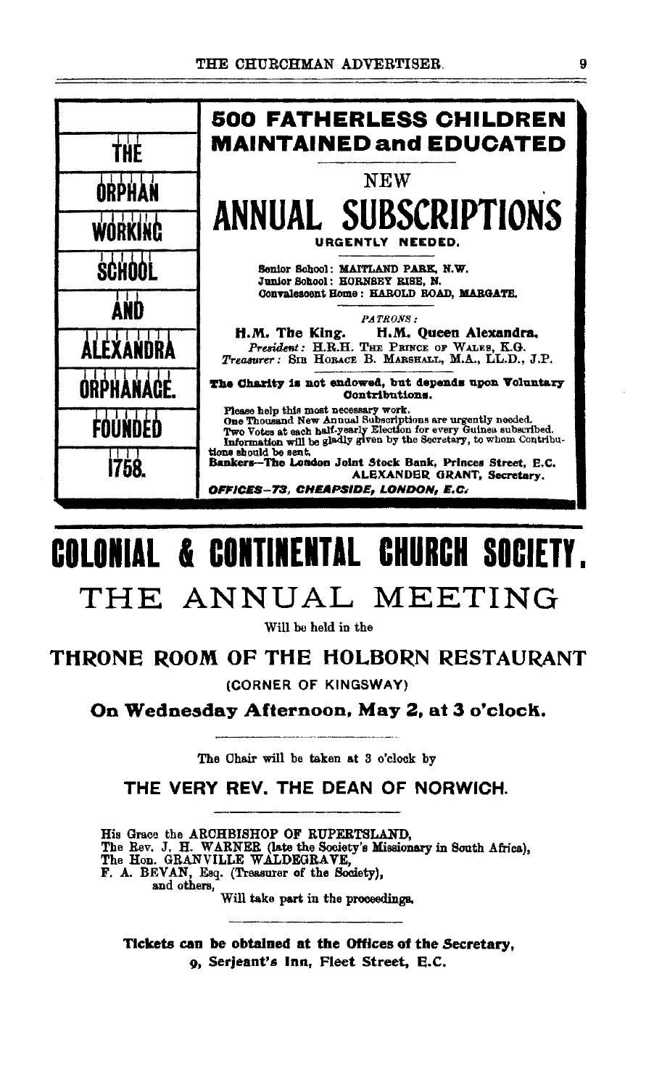

# **COLONIAL & CONTINENTAL CHURCH SOCIETY.** THE ANNUAL MEETING

Will be held in the

### THRONE ROOM OF THE HOLBORN RESTAURANT

(CORNER OF KINGSWAY)

On Wednesday Afternoon, May 2, at 3 o'clock.

The Chair will be taken at 3 o'clock by

THE VERY REV. THE DEAN OF NORWICH.

His Grace the ARCHBISHOP OF RUPERTSLAND, The Rev. J. H. WARNER (late the Society's Missionary in South Africa), The Hon. GRANVILLE WALDEGRAVE, F. A. BEVAN, Esq. (Treasurer of the Society), and others,

Will take part in the proceedings.

Tickets can be obtained at the Offices of the Secretary, o, Serjeant's Inn, Fleet Street, E.C.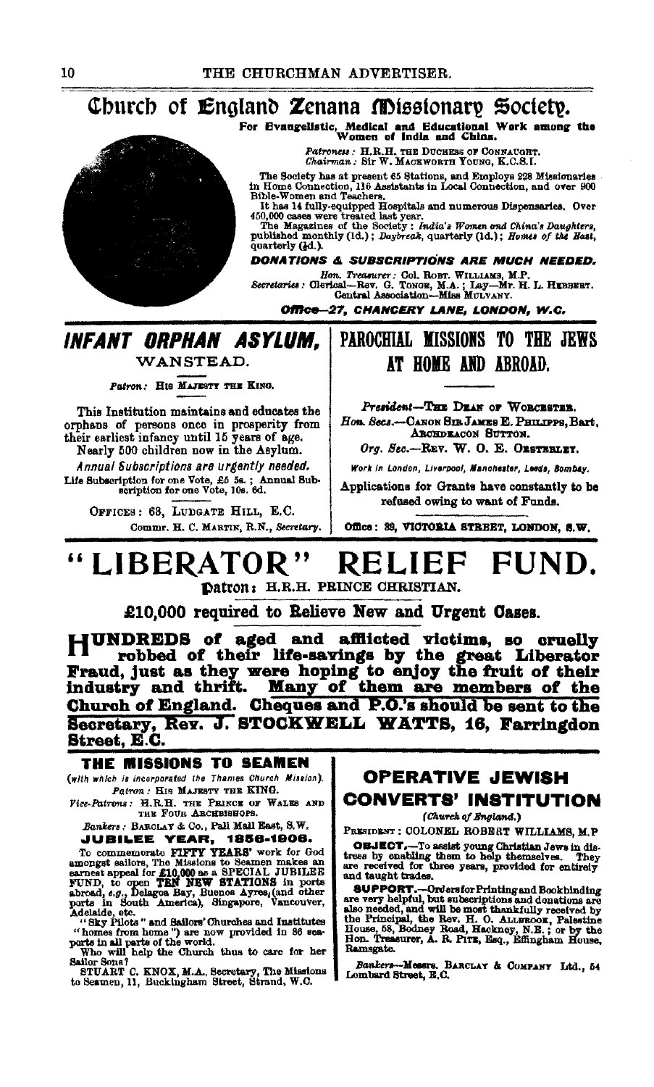### Church of England Zenana Missionary Society.

For Evangelistic, Medical and Educational Work among the Women of India and China.

Patroness : H.R.H. THE DUCHESS OF CONNAUGHT.<br>Chairman : Sir W. MACEWORTH YOUNG, K.C.S.I.

The Society has at present 65 Stations, and Employs 228 Missionaries<br>in Home Connection, 116 Assistants in Local Connection, and over 900<br>Bible-Women and Teachers.

Explorer when any computer of the Hospitals and numerous Dispensaries. Over 450,000 cases were treated last year.<br>The Magazines of the Society: The Magazines of the Society: The Magazines of the Society: The Magazine of th

quarterly (dd.).

**DONATIONS & SUBSCRIPTIONS ARE MUCH NEEDED.** 

Hon. Treasurer: Col. ROBT. WILLIAMS, M.P.<br>Secretaries: Olerical-Rev. G. Toxon, M.A.; Lay-Mr. H. L. HEBBEBT.<br>Central Association--Miss MULVANY.

Office-27, CHANCERY LANE, LONDON, W.C.

### INFANT ORPHAN ASYLUM. WANSTEAD.

Patron: HIS MAJESTY THE KING.

This Institution maintains and educates the orphans of persons once in prosperity from their earliest infancy until 15 years of age.

Nearly 500 children now in the Asylum. Annual Subscriptions are urgently needed. Life Subscription for one Vote, £5 5s.; Annual Sub-<br>scription for one Vote, 10s. 6d.

> OFFICES: 63, LUDGATE HILL, E.C. Commr. H. C. MARTIN, R.N., Secretary.

### PAROCHIAL MISSIONS TO THE JEWS AT HOME AND ABROAD.

President-THE DEAN OF WORCESTER. Hon. Secs.-CANON SIB JAMES E. PHILIPPS, Bart. ARCHDEACON SUTTON.

Org. Sec.-REV. W. O. E. ORSTERLEY.

Work in London, Liverpool, Manchester, Leeds, Bombay.

Applications for Grants have constantly to be refused owing to want of Funds.

Office: 39, VICTORIA STREET, LONDON, S.W.

#### LIBERATOR" RELIEF FUND. Datron: H.R.H. PRINCE CHRISTIAN.

£10,000 required to Relieve New and Urgent Cases.

JUNDREDS of aged and afflicted victims, so cruelly robbed of their life-savings by the great Liberator Fraud, just as they were hoping to enjoy the fruit of their industry and thrift. Many of them are members of the Church of England. Cheques and P.O.'s should be sent to the Secretary, Rev. J. STOCKWELL WATTS, 16, Farringdon **Street, E.C.** 

#### THE MISSIONS TO SEAMEN (with which is incorporated the Thames Church Mission).

Patron: HIS MAJESTY THE KING.

Fice-Patrons: H.R.H. THE PRINCE OF WALES AND THE FOUR ARCHBIBBOPS.

Bankers: BARCLAY & Co., Pall Mall East, S.W. **JUBILEE YEAR, 1856-1906.** 

JUBILEE VEAR, 1856-1906.<br>To commemorate PIPTY YEARS' work for God<br>amongst sailors, The Missions to Seamen makes an<br>earnest appeal for £10,000 as a SPECIAL JUBILEE<br>FUND, to open TRN NEW STATIONS in ports<br>abroad, e.g., Delag

STUART C. KNOX, M.A., Secretary, The Missions to Seamen, 11, Buckingham Street, Strand, W.C.

### OPERATIVE JEWISH **CONVERTS' INSTITUTION**

(Church of England.)

PRESIDENT : COLONEL ROBBRT WILLIAMS, M.P.

**OBJECT.**-To assist young Christian Jews in distress by enabling them to help themselves. They are received for three years, provided for entirely and taught trades.

and aware users.<br>
SuppoRT.--Ordersfor Printing and Bookhinding<br>
are very helpful, but subscriptions and donations are<br>
also needed, and will be most thankfully received by<br>
the Principal, the Rev. H. O. ALLEROOK, Palestine Ramsgate.

Bankers-Messrs, BARCLAY & COMPANY Ltd., 54<br>Lombard Street, E.C.

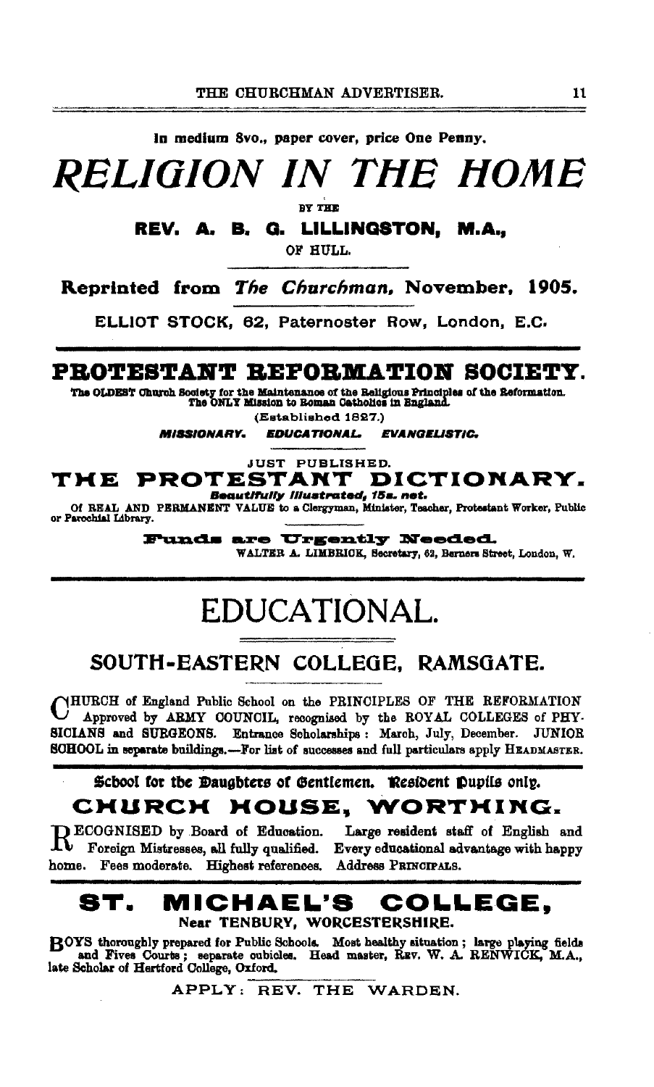In medium 8vo., paper cover, price One Penny,

**RELIGION IN THE HOME** 

**BY THE** 

REV. A. B. G. LILLINGSTON, M.A.,

OF HULL.

Reprinted from The Churchman, November, 1905.

ELLIOT STOCK, 62, Paternoster Row, London, E.C.

### PROTESTANT REFORMATION SOCIETY.

The OLDEST Church Society for the Maintenance of the Religious Principles of the Reformation.<br>The ONLY Mission to Roman Catholics in England.

(Established 1827.)

**EDUCATIONAL MISSIONARY. EVANGELISTIC.** 

**JUST PUBLISHED.** 

#### PROTESTANT DICTIONARY. TME Beautifully illustrated, 15s. net.

Of REAL AND PERMANENT VALUE to a Clergyman, Minister. Teacher. Protestant Worker, Public or Parochial Library.

> **Funds are Urgently Needed.** WALTER A. LIMBRICK, Secretary, 62, Berners Street, London, W.

## EDUCATIONAL.

## SOUTH-EASTERN COLLEGE. RAMSGATE.

CHURCH of England Public School on the PRINCIPLES OF THE REFORMATION Approved by ARMY COUNCIL, recognised by the ROYAL COLLEGES of PHY-SICIANS and SURGEONS. Entrance Scholarships: March, July, December. JUNIOR SOHOOL in separate buildings.-For list of successes and full particulars apply HEADMASTER.

### School for the Daughters of Gentlemen. Resident Pupils only. CHURCH HOUSE, WORTHING.

**ECOGNISED** by Board of Education.  ${\bf K}^-$  Foreign Mistresses, all fully qualified. home. Fees moderate. Highest references.

Large resident staff of English and Every educational advantage with happy Address PRINCIPALS.

#### 8T. MICHAEL'S COLLEGE. Near TENBURY, WORCESTERSHIRE.

ROYS thoroughly prepared for Public Schools. Most healthy situation; large playing fields and Fives Courts; separate cubicles. Head master, REV. W. A. RENWICK, M.A.,

APPLY: REV. THE WARDEN.